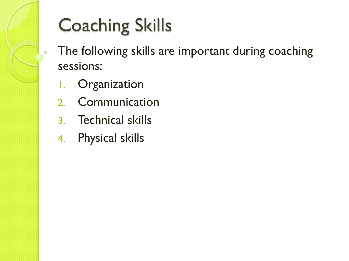# Coaching Skills

- The following skills are important during coaching sessions:
	- 1. Organization

 $\mathsf{o}$ 

- 2. Communication
- 3. Technical skills
- 4. Physical skills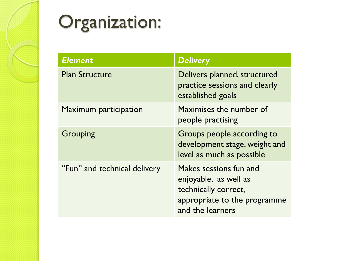

## Organization:

| <b>Element</b>               | <b>Delivery</b>                                                                                                             |
|------------------------------|-----------------------------------------------------------------------------------------------------------------------------|
| <b>Plan Structure</b>        | Delivers planned, structured<br>practice sessions and clearly<br>established goals                                          |
| Maximum participation        | Maximises the number of<br>people practising                                                                                |
| Grouping                     | Groups people according to<br>development stage, weight and<br>level as much as possible                                    |
| "Fun" and technical delivery | Makes sessions fun and<br>enjoyable, as well as<br>technically correct,<br>appropriate to the programme<br>and the learners |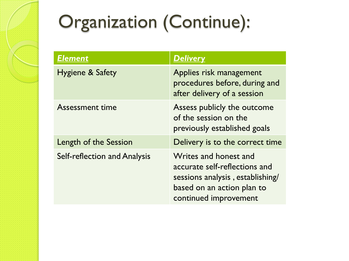# Organization (Continue):

| <b>Element</b>                      | <b>Delivery</b>                                                                                                                                   |
|-------------------------------------|---------------------------------------------------------------------------------------------------------------------------------------------------|
| <b>Hygiene &amp; Safety</b>         | Applies risk management<br>procedures before, during and<br>after delivery of a session                                                           |
| <b>Assessment time</b>              | Assess publicly the outcome<br>of the session on the<br>previously established goals                                                              |
| Length of the Session               | Delivery is to the correct time                                                                                                                   |
| <b>Self-reflection and Analysis</b> | Writes and honest and<br>accurate self-reflections and<br>sessions analysis, establishing/<br>based on an action plan to<br>continued improvement |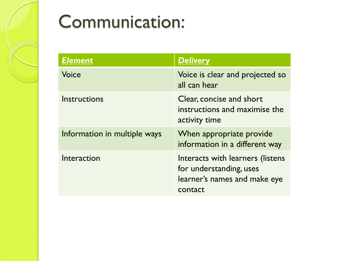#### Communication:

| <b>Element</b>               | <b>Delivery</b>                                                                                        |
|------------------------------|--------------------------------------------------------------------------------------------------------|
| Voice                        | Voice is clear and projected so<br>all can hear                                                        |
| Instructions                 | Clear, concise and short<br>instructions and maximise the<br>activity time                             |
| Information in multiple ways | When appropriate provide<br>information in a different way                                             |
| Interaction                  | Interacts with learners (listens<br>for understanding, uses<br>learner's names and make eye<br>contact |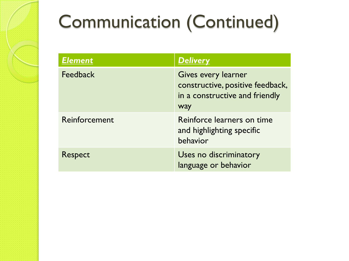# Communication (Continued)

| <b>Element</b>  | <b>Delivery</b>                                                                                  |
|-----------------|--------------------------------------------------------------------------------------------------|
| <b>Feedback</b> | Gives every learner<br>constructive, positive feedback,<br>in a constructive and friendly<br>way |
| Reinforcement   | Reinforce learners on time<br>and highlighting specific<br>behavior                              |
| Respect         | Uses no discriminatory<br>language or behavior                                                   |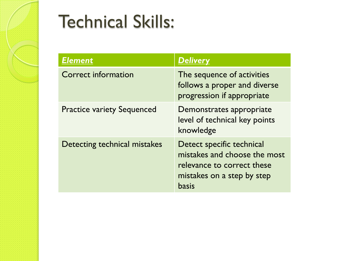

### Technical Skills:

| <b>Element</b>                    | <b>Delivery</b>                                                                                                                       |
|-----------------------------------|---------------------------------------------------------------------------------------------------------------------------------------|
| <b>Correct information</b>        | The sequence of activities<br>follows a proper and diverse<br>progression if appropriate                                              |
| <b>Practice variety Sequenced</b> | Demonstrates appropriate<br>level of technical key points<br>knowledge                                                                |
| Detecting technical mistakes      | Detect specific technical<br>mistakes and choose the most<br>relevance to correct these<br>mistakes on a step by step<br><b>basis</b> |